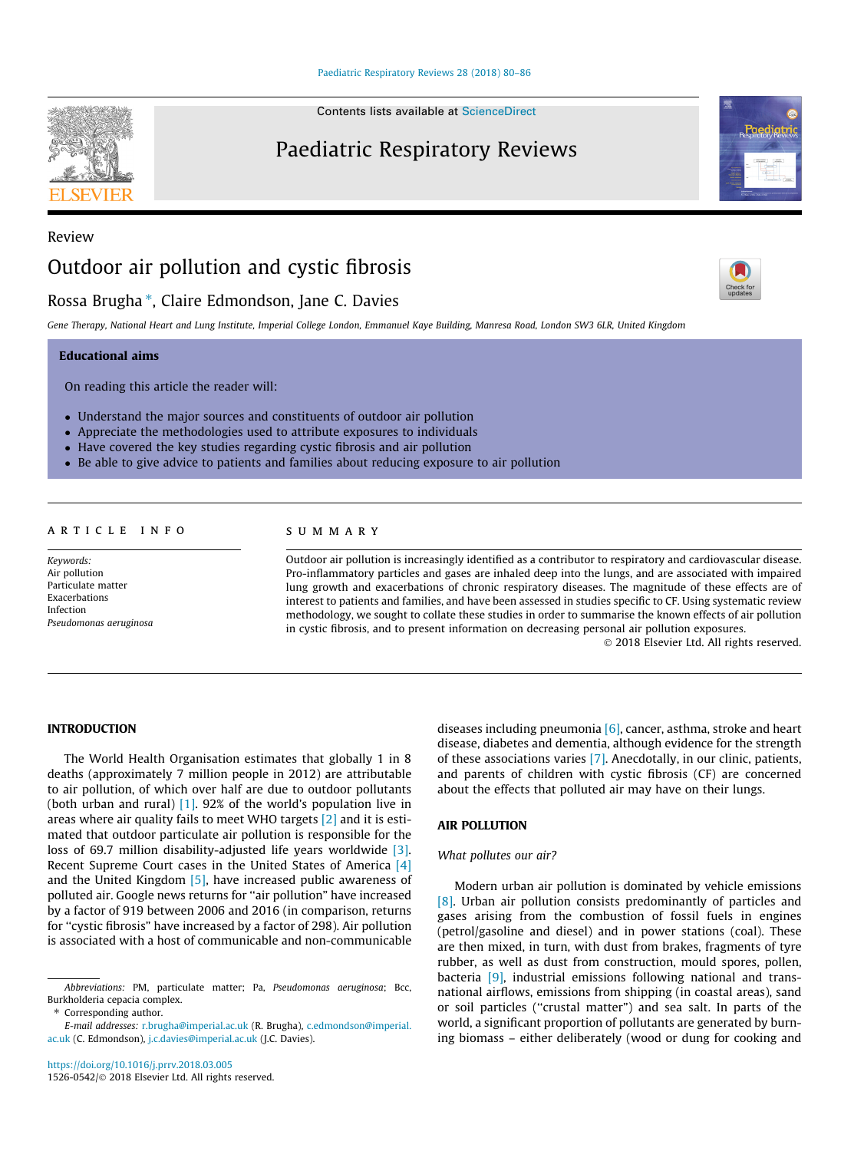Paediatric Respiratory Reviews

Review

# Outdoor air pollution and cystic fibrosis

## Rossa Brugha \*, Claire Edmondson, Jane C. Davies

Gene Therapy, National Heart and Lung Institute, Imperial College London, Emmanuel Kaye Building, Manresa Road, London SW3 6LR, United Kingdom

## Educational aims

On reading this article the reader will:

- Understand the major sources and constituents of outdoor air pollution
- Appreciate the methodologies used to attribute exposures to individuals
- Have covered the key studies regarding cystic fibrosis and air pollution
- Be able to give advice to patients and families about reducing exposure to air pollution

#### article info

Keywords: Air pollution Particulate matter Exacerbations Infection Pseudomonas aeruginosa

## SUMMARY

Outdoor air pollution is increasingly identified as a contributor to respiratory and cardiovascular disease. Pro-inflammatory particles and gases are inhaled deep into the lungs, and are associated with impaired lung growth and exacerbations of chronic respiratory diseases. The magnitude of these effects are of interest to patients and families, and have been assessed in studies specific to CF. Using systematic review methodology, we sought to collate these studies in order to summarise the known effects of air pollution in cystic fibrosis, and to present information on decreasing personal air pollution exposures.

2018 Elsevier Ltd. All rights reserved.

## INTRODUCTION

The World Health Organisation estimates that globally 1 in 8 deaths (approximately 7 million people in 2012) are attributable to air pollution, of which over half are due to outdoor pollutants (both urban and rural) [\[1\].](#page-5-0) 92% of the world's population live in areas where air quality fails to meet WHO targets [\[2\]](#page-5-0) and it is estimated that outdoor particulate air pollution is responsible for the loss of 69.7 million disability-adjusted life years worldwide [\[3\].](#page-5-0) Recent Supreme Court cases in the United States of America [\[4\]](#page-5-0) and the United Kingdom [\[5\],](#page-5-0) have increased public awareness of polluted air. Google news returns for ''air pollution" have increased by a factor of 919 between 2006 and 2016 (in comparison, returns for ''cystic fibrosis" have increased by a factor of 298). Air pollution is associated with a host of communicable and non-communicable diseases including pneumonia  $[6]$ , cancer, asthma, stroke and heart disease, diabetes and dementia, although evidence for the strength of these associations varies [\[7\]](#page-5-0). Anecdotally, in our clinic, patients, and parents of children with cystic fibrosis (CF) are concerned about the effects that polluted air may have on their lungs.

## AIR POLLUTION

## What pollutes our air?

Modern urban air pollution is dominated by vehicle emissions [\[8\]](#page-5-0). Urban air pollution consists predominantly of particles and gases arising from the combustion of fossil fuels in engines (petrol/gasoline and diesel) and in power stations (coal). These are then mixed, in turn, with dust from brakes, fragments of tyre rubber, as well as dust from construction, mould spores, pollen, bacteria [\[9\]](#page-5-0), industrial emissions following national and transnational airflows, emissions from shipping (in coastal areas), sand or soil particles (''crustal matter") and sea salt. In parts of the world, a significant proportion of pollutants are generated by burning biomass – either deliberately (wood or dung for cooking and





Abbreviations: PM, particulate matter; Pa, Pseudomonas aeruginosa; Bcc, Burkholderia cepacia complex.

<sup>⇑</sup> Corresponding author.

E-mail addresses: [r.brugha@imperial.ac.uk](mailto:r.brugha@imperial.ac.uk) (R. Brugha), [c.edmondson@imperial.](mailto:c.edmondson@imperial.ac.uk) [ac.uk](mailto:c.edmondson@imperial.ac.uk) (C. Edmondson), [j.c.davies@imperial.ac.uk](mailto:j.c.davies@imperial.ac.uk) (J.C. Davies).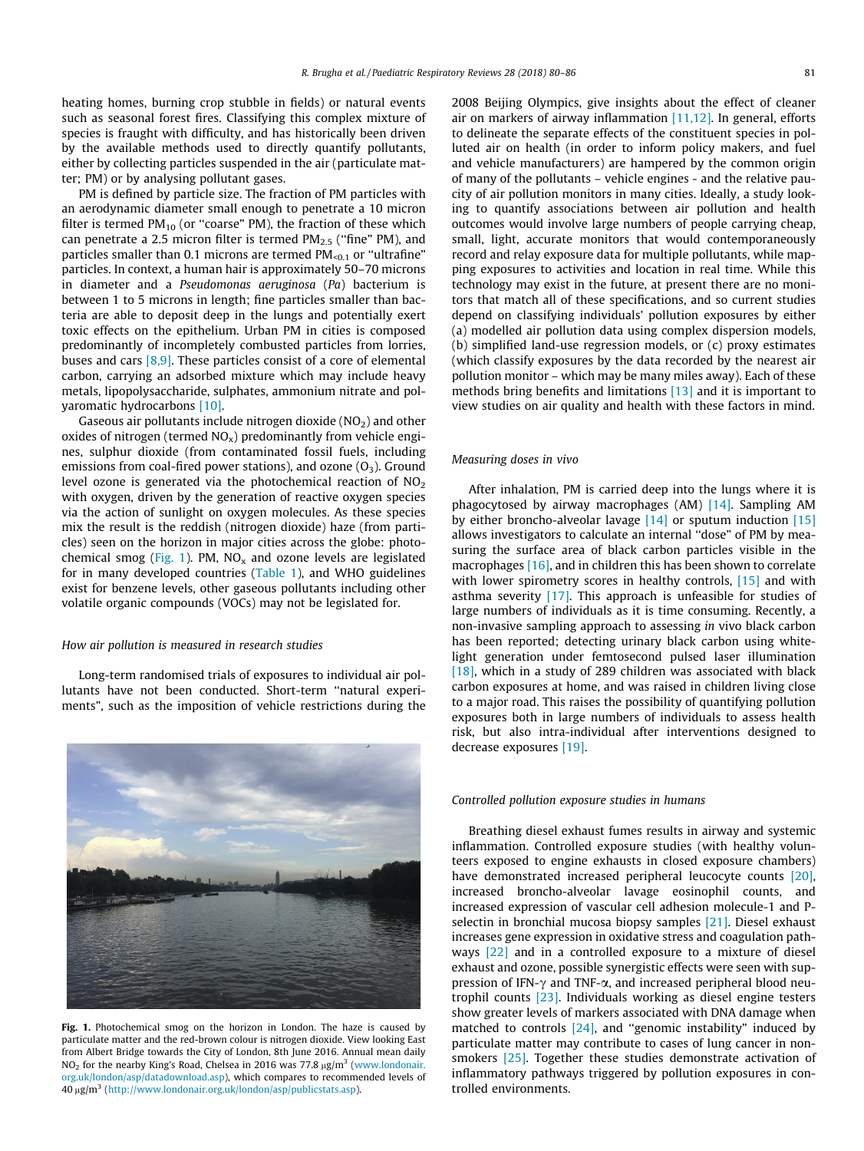heating homes, burning crop stubble in fields) or natural events such as seasonal forest fires. Classifying this complex mixture of species is fraught with difficulty, and has historically been driven by the available methods used to directly quantify pollutants, either by collecting particles suspended in the air (particulate matter; PM) or by analysing pollutant gases.

PM is defined by particle size. The fraction of PM particles with an aerodynamic diameter small enough to penetrate a 10 micron filter is termed  $PM_{10}$  (or "coarse" PM), the fraction of these which can penetrate a 2.5 micron filter is termed  $PM_{2.5}$  ("fine" PM), and particles smaller than 0.1 microns are termed  $PM<sub>0.1</sub>$  or "ultrafine" particles. In context, a human hair is approximately 50–70 microns in diameter and a Pseudomonas aeruginosa (Pa) bacterium is between 1 to 5 microns in length; fine particles smaller than bacteria are able to deposit deep in the lungs and potentially exert toxic effects on the epithelium. Urban PM in cities is composed predominantly of incompletely combusted particles from lorries, buses and cars [\[8,9\]](#page-5-0). These particles consist of a core of elemental carbon, carrying an adsorbed mixture which may include heavy metals, lipopolysaccharide, sulphates, ammonium nitrate and polyaromatic hydrocarbons [\[10\].](#page-5-0)

Gaseous air pollutants include nitrogen dioxide  $(NO<sub>2</sub>)$  and other oxides of nitrogen (termed  $NO<sub>x</sub>$ ) predominantly from vehicle engines, sulphur dioxide (from contaminated fossil fuels, including emissions from coal-fired power stations), and ozone  $(O_3)$ . Ground level ozone is generated via the photochemical reaction of  $NO<sub>2</sub>$ with oxygen, driven by the generation of reactive oxygen species via the action of sunlight on oxygen molecules. As these species mix the result is the reddish (nitrogen dioxide) haze (from particles) seen on the horizon in major cities across the globe: photochemical smog (Fig. 1). PM,  $NO<sub>x</sub>$  and ozone levels are legislated for in many developed countries [\(Table 1\)](#page-2-0), and WHO guidelines exist for benzene levels, other gaseous pollutants including other volatile organic compounds (VOCs) may not be legislated for.

#### How air pollution is measured in research studies

Long-term randomised trials of exposures to individual air pollutants have not been conducted. Short-term ''natural experiments", such as the imposition of vehicle restrictions during the



Fig. 1. Photochemical smog on the horizon in London. The haze is caused by particulate matter and the red-brown colour is nitrogen dioxide. View looking East from Albert Bridge towards the City of London, 8th June 2016. Annual mean daily NO<sub>2</sub> for the nearby King's Road, Chelsea in 2016 was 77.8  $\mu$ g/m<sup>3</sup> ([www.londonair.](http://www.londonair.org.uk/london/asp/datadownload.asp) [org.uk/london/asp/datadownload.asp\)](http://www.londonair.org.uk/london/asp/datadownload.asp), which compares to recommended levels of 40 mg/m<sup>3</sup> (<http://www.londonair.org.uk/london/asp/publicstats.asp>).

2008 Beijing Olympics, give insights about the effect of cleaner air on markers of airway inflammation [\[11,12\]](#page-5-0). In general, efforts to delineate the separate effects of the constituent species in polluted air on health (in order to inform policy makers, and fuel and vehicle manufacturers) are hampered by the common origin of many of the pollutants – vehicle engines - and the relative paucity of air pollution monitors in many cities. Ideally, a study looking to quantify associations between air pollution and health outcomes would involve large numbers of people carrying cheap, small, light, accurate monitors that would contemporaneously record and relay exposure data for multiple pollutants, while mapping exposures to activities and location in real time. While this technology may exist in the future, at present there are no monitors that match all of these specifications, and so current studies depend on classifying individuals' pollution exposures by either (a) modelled air pollution data using complex dispersion models, (b) simplified land-use regression models, or (c) proxy estimates (which classify exposures by the data recorded by the nearest air pollution monitor – which may be many miles away). Each of these methods bring benefits and limitations [\[13\]](#page-5-0) and it is important to view studies on air quality and health with these factors in mind.

#### Measuring doses in vivo

After inhalation, PM is carried deep into the lungs where it is phagocytosed by airway macrophages (AM) [\[14\]](#page-5-0). Sampling AM by either broncho-alveolar lavage  $[14]$  or sputum induction  $[15]$ allows investigators to calculate an internal ''dose" of PM by measuring the surface area of black carbon particles visible in the macrophages [\[16\],](#page-5-0) and in children this has been shown to correlate with lower spirometry scores in healthy controls, [\[15\]](#page-5-0) and with asthma severity [\[17\].](#page-5-0) This approach is unfeasible for studies of large numbers of individuals as it is time consuming. Recently, a non-invasive sampling approach to assessing in vivo black carbon has been reported; detecting urinary black carbon using whitelight generation under femtosecond pulsed laser illumination [\[18\]](#page-5-0), which in a study of 289 children was associated with black carbon exposures at home, and was raised in children living close to a major road. This raises the possibility of quantifying pollution exposures both in large numbers of individuals to assess health risk, but also intra-individual after interventions designed to decrease exposures [\[19\]](#page-5-0).

#### Controlled pollution exposure studies in humans

Breathing diesel exhaust fumes results in airway and systemic inflammation. Controlled exposure studies (with healthy volunteers exposed to engine exhausts in closed exposure chambers) have demonstrated increased peripheral leucocyte counts [\[20\],](#page-5-0) increased broncho-alveolar lavage eosinophil counts, and increased expression of vascular cell adhesion molecule-1 and Pselectin in bronchial mucosa biopsy samples [\[21\].](#page-5-0) Diesel exhaust increases gene expression in oxidative stress and coagulation pathways [\[22\]](#page-5-0) and in a controlled exposure to a mixture of diesel exhaust and ozone, possible synergistic effects were seen with suppression of IFN- $\gamma$  and TNF- $\alpha$ , and increased peripheral blood neutrophil counts [\[23\]](#page-5-0). Individuals working as diesel engine testers show greater levels of markers associated with DNA damage when matched to controls [\[24\],](#page-5-0) and ''genomic instability" induced by particulate matter may contribute to cases of lung cancer in nonsmokers [\[25\].](#page-5-0) Together these studies demonstrate activation of inflammatory pathways triggered by pollution exposures in controlled environments.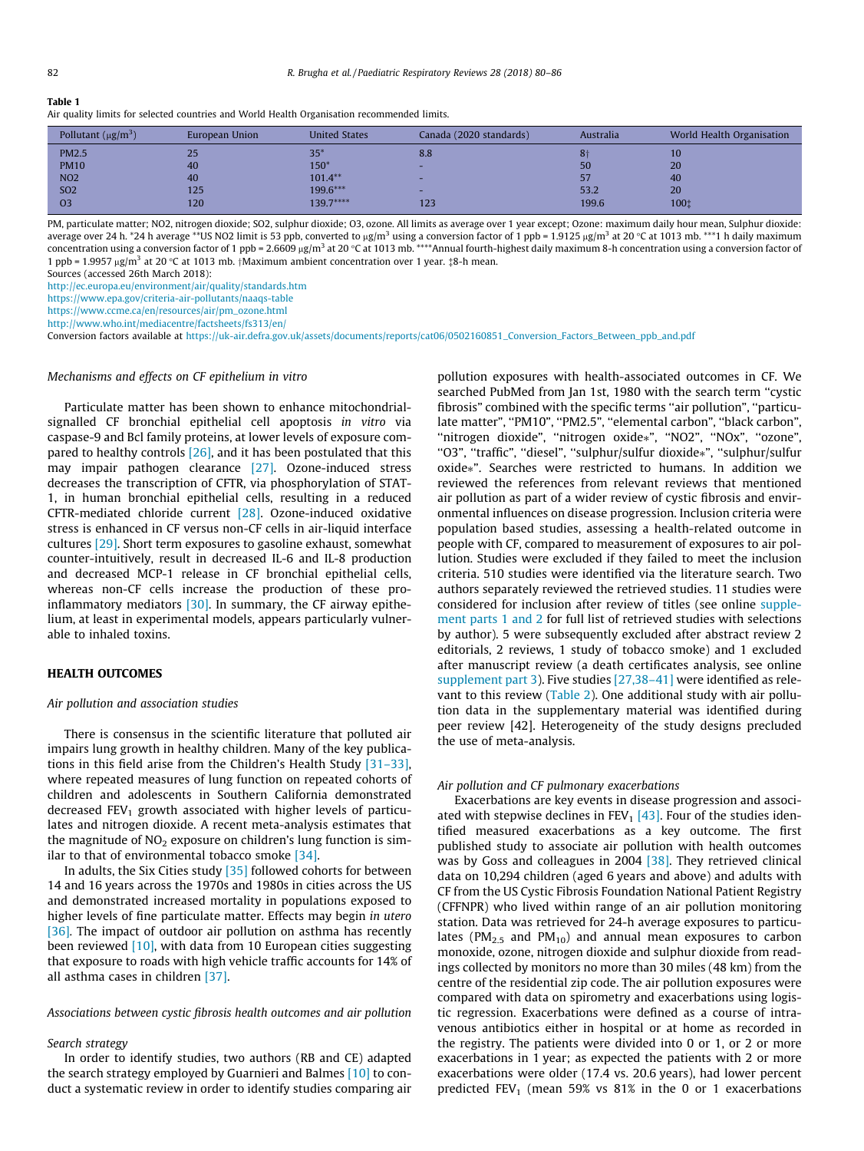#### <span id="page-2-0"></span>Table 1

|  |  |  |  | Air quality limits for selected countries and World Health Organisation recommended limits. |  |
|--|--|--|--|---------------------------------------------------------------------------------------------|--|
|  |  |  |  |                                                                                             |  |
|  |  |  |  |                                                                                             |  |

| Pollutant $(\mu g/m^3)$ | European Union | <b>United States</b> | Canada (2020 standards) | Australia | World Health Organisation |
|-------------------------|----------------|----------------------|-------------------------|-----------|---------------------------|
| <b>PM2.5</b>            | 25             | $35^{\circ}$         | 8.8                     |           | 10                        |
| <b>PM10</b>             | 40             | $150*$               | re i                    | 50        | 20                        |
| <b>NO2</b>              | 40             | $101.4***$           | -                       | 57        | 40                        |
| <b>SO2</b>              | 125            | 199.6***             |                         | 53.2      | 20                        |
| <b>O3</b>               | 120            | $139.7***$           | 123                     | 199.6     | 100t                      |

PM, particulate matter; NO2, nitrogen dioxide; SO2, sulphur dioxide; O3, ozone. All limits as average over 1 year except; Ozone: maximum daily hour mean, Sulphur dioxide: average over 24 h. \*24 h average \*\*US NO2 limit is 53 ppb, converted to µg/m<sup>3</sup> using a conversion factor of 1 ppb = 1.9125 µg/m<sup>3</sup> at 20 °C at 1013 mb. \*\*\*1 h daily maximum concentration using a conversion factor of 1 ppb = 2.6609  $\mu$ g/m<sup>3</sup> at 20 °C at 1013 mb. \*\*\*\*Annual fourth-highest daily maximum 8-h concentration using a conversion factor of 1 ppb = 1.9957  $\mu$ g/m<sup>3</sup> at 20 °C at 1013 mb. †Maximum ambient concentration over 1 year. ‡8-h mean.

Sources (accessed 26th March 2018):

<http://ec.europa.eu/environment/air/quality/standards.htm>

<https://www.epa.gov/criteria-air-pollutants/naaqs-table>

[https://www.ccme.ca/en/resources/air/pm\\_ozone.html](https://www.ccme.ca/en/resources/air/pm_ozone.html)

<http://www.who.int/mediacentre/factsheets/fs313/en/>

Conversion factors available at [https://uk-air.defra.gov.uk/assets/documents/reports/cat06/0502160851\\_Conversion\\_Factors\\_Between\\_ppb\\_and.pdf](https://uk-air.defra.gov.uk/assets/documents/reports/cat06/0502160851_Conversion_Factors_Between_ppb_and.pdf)

#### Mechanisms and effects on CF epithelium in vitro

Particulate matter has been shown to enhance mitochondrialsignalled CF bronchial epithelial cell apoptosis in vitro via caspase-9 and Bcl family proteins, at lower levels of exposure compared to healthy controls [\[26\],](#page-5-0) and it has been postulated that this may impair pathogen clearance [\[27\].](#page-5-0) Ozone-induced stress decreases the transcription of CFTR, via phosphorylation of STAT-1, in human bronchial epithelial cells, resulting in a reduced CFTR-mediated chloride current [\[28\].](#page-5-0) Ozone-induced oxidative stress is enhanced in CF versus non-CF cells in air-liquid interface cultures [\[29\].](#page-5-0) Short term exposures to gasoline exhaust, somewhat counter-intuitively, result in decreased IL-6 and IL-8 production and decreased MCP-1 release in CF bronchial epithelial cells, whereas non-CF cells increase the production of these proinflammatory mediators  $[30]$ . In summary, the CF airway epithelium, at least in experimental models, appears particularly vulnerable to inhaled toxins.

#### HEALTH OUTCOMES

#### Air pollution and association studies

There is consensus in the scientific literature that polluted air impairs lung growth in healthy children. Many of the key publications in this field arise from the Children's Health Study [\[31–33\],](#page-5-0) where repeated measures of lung function on repeated cohorts of children and adolescents in Southern California demonstrated decreased FEV<sub>1</sub> growth associated with higher levels of particulates and nitrogen dioxide. A recent meta-analysis estimates that the magnitude of  $NO<sub>2</sub>$  exposure on children's lung function is similar to that of environmental tobacco smoke  $[34]$ .

In adults, the Six Cities study [\[35\]](#page-5-0) followed cohorts for between 14 and 16 years across the 1970s and 1980s in cities across the US and demonstrated increased mortality in populations exposed to higher levels of fine particulate matter. Effects may begin in utero [\[36\]](#page-5-0). The impact of outdoor air pollution on asthma has recently been reviewed [\[10\]](#page-5-0), with data from 10 European cities suggesting that exposure to roads with high vehicle traffic accounts for 14% of all asthma cases in children [\[37\].](#page-5-0)

Associations between cystic fibrosis health outcomes and air pollution

#### Search strategy

In order to identify studies, two authors (RB and CE) adapted the search strategy employed by Guarnieri and Balmes [\[10\]](#page-5-0) to conduct a systematic review in order to identify studies comparing air pollution exposures with health-associated outcomes in CF. We searched PubMed from Jan 1st, 1980 with the search term ''cystic fibrosis" combined with the specific terms "air pollution", "particulate matter", "PM10", "PM2.5", "elemental carbon", "black carbon", "nitrogen dioxide", "nitrogen oxide\*", "NO2", "NOx", "ozone", "O3", "traffic", "diesel", "sulphur/sulfur dioxide\*", "sulphur/sulfur oxide\*". Searches were restricted to humans. In addition we reviewed the references from relevant reviews that mentioned air pollution as part of a wider review of cystic fibrosis and environmental influences on disease progression. Inclusion criteria were population based studies, assessing a health-related outcome in people with CF, compared to measurement of exposures to air pollution. Studies were excluded if they failed to meet the inclusion criteria. 510 studies were identified via the literature search. Two authors separately reviewed the retrieved studies. 11 studies were considered for inclusion after review of titles (see online supplement parts 1 and 2 for full list of retrieved studies with selections by author). 5 were subsequently excluded after abstract review 2 editorials, 2 reviews, 1 study of tobacco smoke) and 1 excluded after manuscript review (a death certificates analysis, see online supplement part 3). Five studies [\[27,38–41\]](#page-5-0) were identified as rele-vant to this review ([Table 2](#page-3-0)). One additional study with air pollution data in the supplementary material was identified during peer review [42]. Heterogeneity of the study designs precluded the use of meta-analysis.

#### Air pollution and CF pulmonary exacerbations

Exacerbations are key events in disease progression and associ-ated with stepwise declines in FEV<sub>1</sub> [\[43\]](#page-6-0). Four of the studies identified measured exacerbations as a key outcome. The first published study to associate air pollution with health outcomes was by Goss and colleagues in 2004 [\[38\].](#page-5-0) They retrieved clinical data on 10,294 children (aged 6 years and above) and adults with CF from the US Cystic Fibrosis Foundation National Patient Registry (CFFNPR) who lived within range of an air pollution monitoring station. Data was retrieved for 24-h average exposures to particulates ( $PM_{2.5}$  and  $PM_{10}$ ) and annual mean exposures to carbon monoxide, ozone, nitrogen dioxide and sulphur dioxide from readings collected by monitors no more than 30 miles (48 km) from the centre of the residential zip code. The air pollution exposures were compared with data on spirometry and exacerbations using logistic regression. Exacerbations were defined as a course of intravenous antibiotics either in hospital or at home as recorded in the registry. The patients were divided into 0 or 1, or 2 or more exacerbations in 1 year; as expected the patients with 2 or more exacerbations were older (17.4 vs. 20.6 years), had lower percent predicted FEV<sub>1</sub> (mean 59% vs 81% in the 0 or 1 exacerbations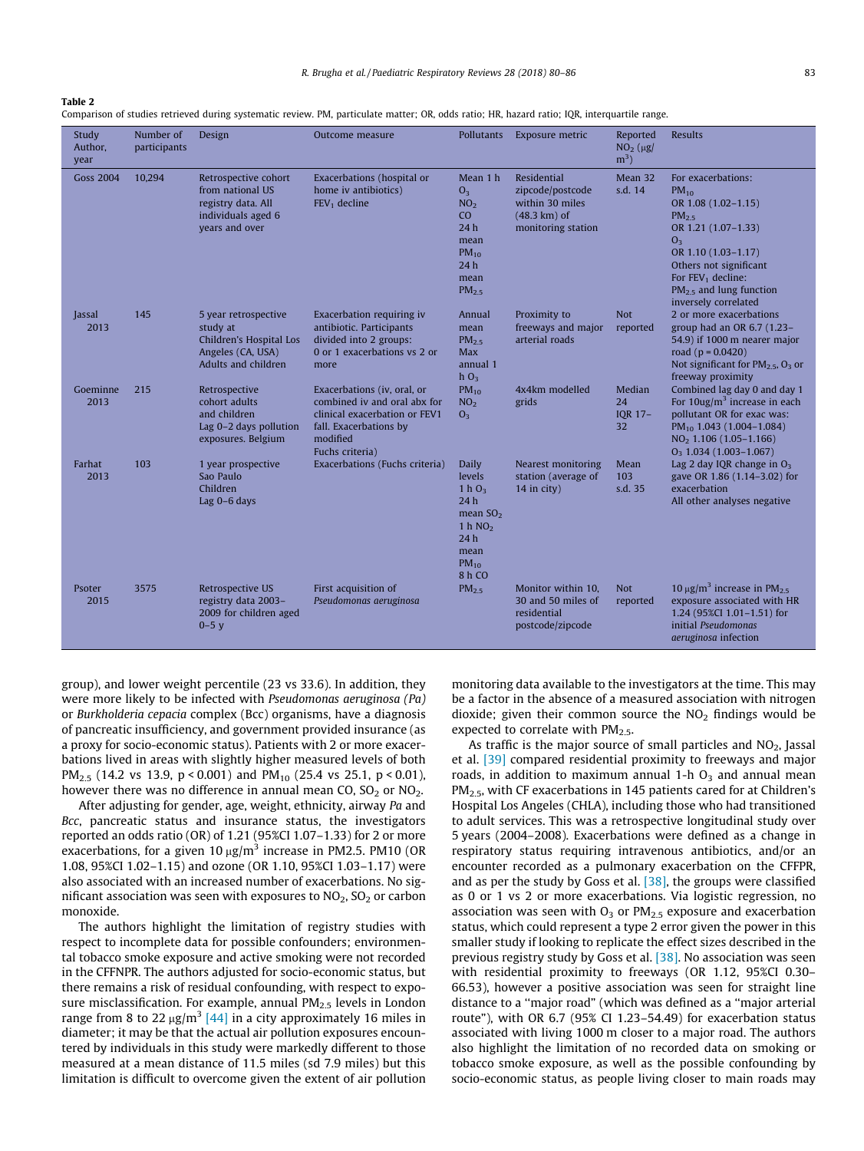#### <span id="page-3-0"></span>Table 2

Comparison of studies retrieved during systematic review. PM, particulate matter; OR, odds ratio; HR, hazard ratio; IQR, interquartile range.

| Study<br>Author,<br>year | Number of<br>participants | Design                                                                                                  | Outcome measure                                                                                                                                       | Pollutants                                                                                                              | Exposure metric                                                                                    | Reported<br>$NO2$ (µg/<br>$m3$ )     | <b>Results</b>                                                                                                                                                                                                                                              |
|--------------------------|---------------------------|---------------------------------------------------------------------------------------------------------|-------------------------------------------------------------------------------------------------------------------------------------------------------|-------------------------------------------------------------------------------------------------------------------------|----------------------------------------------------------------------------------------------------|--------------------------------------|-------------------------------------------------------------------------------------------------------------------------------------------------------------------------------------------------------------------------------------------------------------|
| <b>Goss 2004</b>         | 10,294                    | Retrospective cohort<br>from national US<br>registry data. All<br>individuals aged 6<br>years and over  | Exacerbations (hospital or<br>home iv antibiotics)<br>$FEV1$ decline                                                                                  | Mean 1 h<br>O <sub>3</sub><br>NO <sub>2</sub><br>CO<br>24h<br>mean<br>$PM_{10}$<br>24h<br>mean<br>PM <sub>2.5</sub>     | Residential<br>zipcode/postcode<br>within 30 miles<br>$(48.3 \text{ km})$ of<br>monitoring station | Mean 32<br>s.d. 14                   | For exacerbations:<br>$PM_{10}$<br>OR 1.08 (1.02-1.15)<br>PM <sub>2.5</sub><br>OR 1.21 (1.07-1.33)<br>O <sub>3</sub><br>OR 1.10 (1.03-1.17)<br>Others not significant<br>For FEV <sub>1</sub> decline:<br>$PM2.5$ and lung function<br>inversely correlated |
| Jassal<br>2013           | 145                       | 5 year retrospective<br>study at<br>Children's Hospital Los<br>Angeles (CA, USA)<br>Adults and children | Exacerbation requiring iv<br>antibiotic. Participants<br>divided into 2 groups:<br>0 or 1 exacerbations vs 2 or<br>more                               | Annual<br>mean<br>PM <sub>2.5</sub><br><b>Max</b><br>annual 1<br>$h O_3$                                                | Proximity to<br>freeways and major<br>arterial roads                                               | <b>Not</b><br>reported               | 2 or more exacerbations<br>group had an OR 6.7 (1.23-<br>54.9) if 1000 m nearer major<br>road ( $p = 0.0420$ )<br>Not significant for $PM_{2.5}$ , O <sub>3</sub> or<br>freeway proximity                                                                   |
| Goeminne<br>2013         | 215                       | Retrospective<br>cohort adults<br>and children<br>Lag 0-2 days pollution<br>exposures. Belgium          | Exacerbations (iv, oral, or<br>combined iv and oral abx for<br>clinical exacerbation or FEV1<br>fall. Exacerbations by<br>modified<br>Fuchs criteria) | $PM_{10}$<br>NO <sub>2</sub><br>O <sub>3</sub>                                                                          | 4x4km modelled<br>grids                                                                            | Median<br>24<br><b>IOR 17-</b><br>32 | Combined lag day 0 and day 1<br>For $10\mu g/m^3$ increase in each<br>pollutant OR for exac was:<br>$PM_{10}$ 1.043 (1.004-1.084)<br>$NO2 1.106 (1.05 - 1.166)$<br>$O_3$ 1.034 (1.003-1.067)                                                                |
| Farhat<br>2013           | 103                       | 1 year prospective<br>Sao Paulo<br>Children<br>Lag 0-6 days                                             | Exacerbations (Fuchs criteria)                                                                                                                        | Daily<br>levels<br>1 h O <sub>3</sub><br>24h<br>mean $SO2$<br>1 h NO <sub>2</sub><br>24h<br>mean<br>$PM_{10}$<br>8 h CO | Nearest monitoring<br>station (average of<br>14 in city)                                           | Mean<br>103<br>s.d. 35               | Lag 2 day IQR change in $O_3$<br>gave OR 1.86 (1.14-3.02) for<br>exacerbation<br>All other analyses negative                                                                                                                                                |
| Psoter<br>2015           | 3575                      | Retrospective US<br>registry data 2003-<br>2009 for children aged<br>$0-5y$                             | First acquisition of<br>Pseudomonas aeruginosa                                                                                                        | PM <sub>2.5</sub>                                                                                                       | Monitor within 10.<br>30 and 50 miles of<br>residential<br>postcode/zipcode                        | <b>Not</b><br>reported               | 10 $\mu$ g/m <sup>3</sup> increase in PM <sub>2.5</sub><br>exposure associated with HR<br>1.24 (95%CI 1.01-1.51) for<br>initial <i>Pseudomongs</i><br>aeruginosa infection                                                                                  |

group), and lower weight percentile (23 vs 33.6). In addition, they were more likely to be infected with Pseudomonas aeruginosa (Pa) or Burkholderia cepacia complex (Bcc) organisms, have a diagnosis of pancreatic insufficiency, and government provided insurance (as a proxy for socio-economic status). Patients with 2 or more exacerbations lived in areas with slightly higher measured levels of both PM<sub>2.5</sub> (14.2 vs 13.9,  $p < 0.001$ ) and PM<sub>10</sub> (25.4 vs 25.1,  $p < 0.01$ ), however there was no difference in annual mean  $CO$ ,  $SO<sub>2</sub>$  or  $NO<sub>2</sub>$ .

After adjusting for gender, age, weight, ethnicity, airway Pa and Bcc, pancreatic status and insurance status, the investigators reported an odds ratio (OR) of 1.21 (95%CI 1.07–1.33) for 2 or more exacerbations, for a given 10  $\mu$ g/m<sup>3</sup> increase in PM2.5. PM10 (OR 1.08, 95%CI 1.02–1.15) and ozone (OR 1.10, 95%CI 1.03–1.17) were also associated with an increased number of exacerbations. No significant association was seen with exposures to  $NO<sub>2</sub>$ ,  $SO<sub>2</sub>$  or carbon monoxide.

The authors highlight the limitation of registry studies with respect to incomplete data for possible confounders; environmental tobacco smoke exposure and active smoking were not recorded in the CFFNPR. The authors adjusted for socio-economic status, but there remains a risk of residual confounding, with respect to exposure misclassification. For example, annual  $PM<sub>2.5</sub>$  levels in London range from 8 to 22  $\mu$ g/m<sup>3</sup> [\[44\]](#page-6-0) in a city approximately 16 miles in diameter; it may be that the actual air pollution exposures encountered by individuals in this study were markedly different to those measured at a mean distance of 11.5 miles (sd 7.9 miles) but this limitation is difficult to overcome given the extent of air pollution monitoring data available to the investigators at the time. This may be a factor in the absence of a measured association with nitrogen dioxide; given their common source the  $NO<sub>2</sub>$  findings would be expected to correlate with  $PM_{2.5}$ .

As traffic is the major source of small particles and  $NO<sub>2</sub>$ , Jassal et al. [\[39\]](#page-5-0) compared residential proximity to freeways and major roads, in addition to maximum annual 1-h  $O<sub>3</sub>$  and annual mean PM<sub>2.5</sub>, with CF exacerbations in 145 patients cared for at Children's Hospital Los Angeles (CHLA), including those who had transitioned to adult services. This was a retrospective longitudinal study over 5 years (2004–2008). Exacerbations were defined as a change in respiratory status requiring intravenous antibiotics, and/or an encounter recorded as a pulmonary exacerbation on the CFFPR, and as per the study by Goss et al.  $[38]$ , the groups were classified as 0 or 1 vs 2 or more exacerbations. Via logistic regression, no association was seen with  $O_3$  or  $PM_{2.5}$  exposure and exacerbation status, which could represent a type 2 error given the power in this smaller study if looking to replicate the effect sizes described in the previous registry study by Goss et al. [\[38\].](#page-5-0) No association was seen with residential proximity to freeways (OR 1.12, 95%CI 0.30– 66.53), however a positive association was seen for straight line distance to a ''major road" (which was defined as a ''major arterial route"), with OR 6.7 (95% CI 1.23–54.49) for exacerbation status associated with living 1000 m closer to a major road. The authors also highlight the limitation of no recorded data on smoking or tobacco smoke exposure, as well as the possible confounding by socio-economic status, as people living closer to main roads may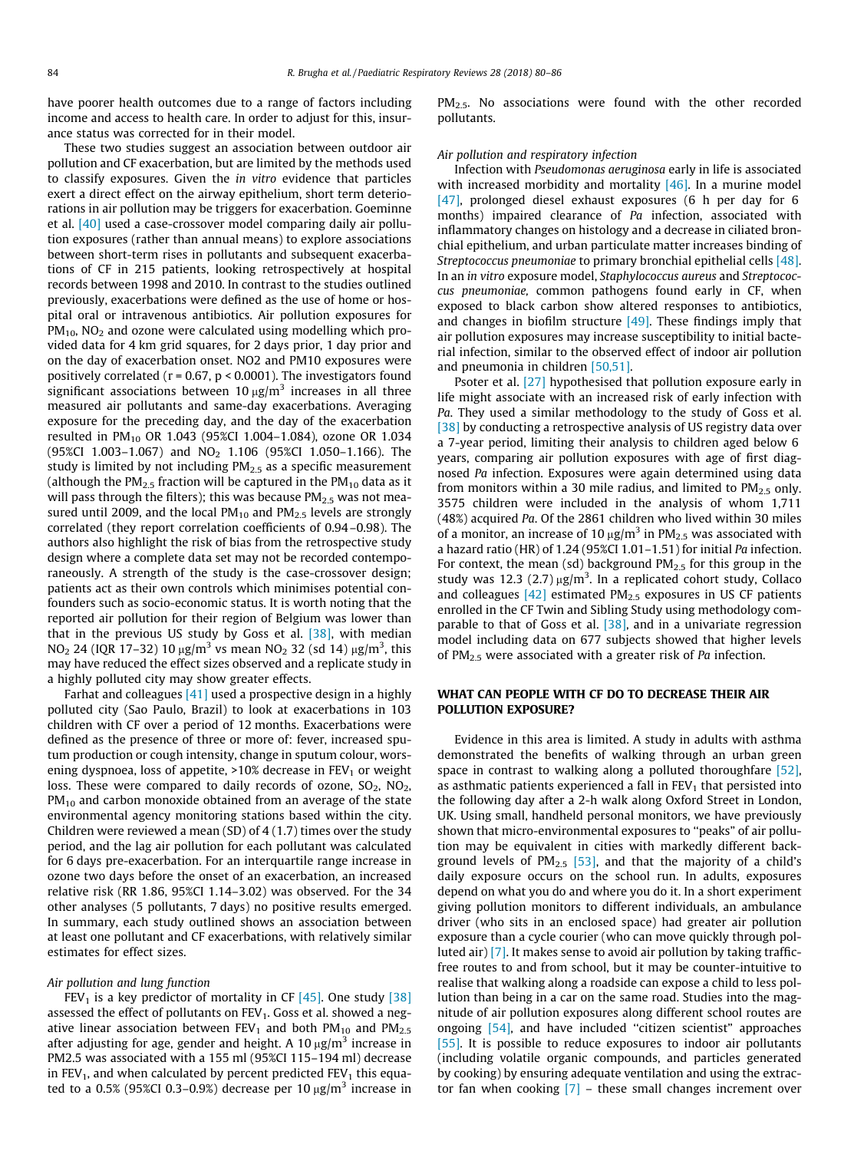have poorer health outcomes due to a range of factors including income and access to health care. In order to adjust for this, insurance status was corrected for in their model.

These two studies suggest an association between outdoor air pollution and CF exacerbation, but are limited by the methods used to classify exposures. Given the in vitro evidence that particles exert a direct effect on the airway epithelium, short term deteriorations in air pollution may be triggers for exacerbation. Goeminne et al. [\[40\]](#page-5-0) used a case-crossover model comparing daily air pollution exposures (rather than annual means) to explore associations between short-term rises in pollutants and subsequent exacerbations of CF in 215 patients, looking retrospectively at hospital records between 1998 and 2010. In contrast to the studies outlined previously, exacerbations were defined as the use of home or hospital oral or intravenous antibiotics. Air pollution exposures for  $PM_{10}$ , NO<sub>2</sub> and ozone were calculated using modelling which provided data for 4 km grid squares, for 2 days prior, 1 day prior and on the day of exacerbation onset. NO2 and PM10 exposures were positively correlated ( $r = 0.67$ ,  $p < 0.0001$ ). The investigators found significant associations between  $10 \mu g/m^3$  increases in all three measured air pollutants and same-day exacerbations. Averaging exposure for the preceding day, and the day of the exacerbation resulted in PM<sub>10</sub> OR 1.043 (95%CI 1.004-1.084), ozone OR 1.034 (95%CI 1.003-1.067) and  $NO<sub>2</sub>$  1.106 (95%CI 1.050-1.166). The study is limited by not including  $PM<sub>2.5</sub>$  as a specific measurement (although the  $PM<sub>2.5</sub>$  fraction will be captured in the  $PM<sub>10</sub>$  data as it will pass through the filters); this was because  $PM_{2.5}$  was not measured until 2009, and the local  $PM_{10}$  and  $PM_{2.5}$  levels are strongly correlated (they report correlation coefficients of 0.94–0.98). The authors also highlight the risk of bias from the retrospective study design where a complete data set may not be recorded contemporaneously. A strength of the study is the case-crossover design; patients act as their own controls which minimises potential confounders such as socio-economic status. It is worth noting that the reported air pollution for their region of Belgium was lower than that in the previous US study by Goss et al.  $[38]$ , with median NO<sub>2</sub> 24 (IQR 17–32) 10  $\mu$ g/m<sup>3</sup> vs mean NO<sub>2</sub> 32 (sd 14)  $\mu$ g/m<sup>3</sup>, this may have reduced the effect sizes observed and a replicate study in a highly polluted city may show greater effects.

Farhat and colleagues [\[41\]](#page-6-0) used a prospective design in a highly polluted city (Sao Paulo, Brazil) to look at exacerbations in 103 children with CF over a period of 12 months. Exacerbations were defined as the presence of three or more of: fever, increased sputum production or cough intensity, change in sputum colour, worsening dyspnoea, loss of appetite,  $>10\%$  decrease in FEV<sub>1</sub> or weight loss. These were compared to daily records of ozone,  $SO_2$ ,  $NO_2$ ,  $PM_{10}$  and carbon monoxide obtained from an average of the state environmental agency monitoring stations based within the city. Children were reviewed a mean (SD) of 4 (1.7) times over the study period, and the lag air pollution for each pollutant was calculated for 6 days pre-exacerbation. For an interquartile range increase in ozone two days before the onset of an exacerbation, an increased relative risk (RR 1.86, 95%CI 1.14–3.02) was observed. For the 34 other analyses (5 pollutants, 7 days) no positive results emerged. In summary, each study outlined shows an association between at least one pollutant and CF exacerbations, with relatively similar estimates for effect sizes.

#### Air pollution and lung function

FEV<sub>1</sub> is a key predictor of mortality in CF  $[45]$ . One study  $[38]$ assessed the effect of pollutants on  $FEV<sub>1</sub>$ . Goss et al. showed a negative linear association between  $FEV_1$  and both  $PM_{10}$  and  $PM_{2.5}$ after adjusting for age, gender and height. A 10  $\mu$ g/m<sup>3</sup> increase in PM2.5 was associated with a 155 ml (95%CI 115-194 ml) decrease in FEV<sub>1</sub>, and when calculated by percent predicted FEV<sub>1</sub> this equated to a 0.5% (95%CI 0.3–0.9%) decrease per 10  $\mu$ g/m<sup>3</sup> increase in  $PM<sub>2.5</sub>$ . No associations were found with the other recorded pollutants.

#### Air pollution and respiratory infection

Infection with Pseudomonas aeruginosa early in life is associated with increased morbidity and mortality  $[46]$ . In a murine model [\[47\]](#page-6-0), prolonged diesel exhaust exposures (6 h per day for 6 months) impaired clearance of Pa infection, associated with inflammatory changes on histology and a decrease in ciliated bronchial epithelium, and urban particulate matter increases binding of Streptococcus pneumoniae to primary bronchial epithelial cells [\[48\].](#page-6-0) In an in vitro exposure model, Staphylococcus aureus and Streptococcus pneumoniae, common pathogens found early in CF, when exposed to black carbon show altered responses to antibiotics, and changes in biofilm structure  $[49]$ . These findings imply that air pollution exposures may increase susceptibility to initial bacterial infection, similar to the observed effect of indoor air pollution and pneumonia in children [\[50,51\]](#page-6-0).

Psoter et al. [\[27\]](#page-5-0) hypothesised that pollution exposure early in life might associate with an increased risk of early infection with Pa. They used a similar methodology to the study of Goss et al. [\[38\]](#page-5-0) by conducting a retrospective analysis of US registry data over a 7-year period, limiting their analysis to children aged below 6 years, comparing air pollution exposures with age of first diagnosed Pa infection. Exposures were again determined using data from monitors within a 30 mile radius, and limited to  $PM<sub>2.5</sub>$  only. 3575 children were included in the analysis of whom 1,711 (48%) acquired Pa. Of the 2861 children who lived within 30 miles of a monitor, an increase of 10  $\mu$ g/m<sup>3</sup> in PM<sub>2.5</sub> was associated with a hazard ratio (HR) of 1.24 (95%CI 1.01–1.51) for initial Pa infection. For context, the mean (sd) background  $PM<sub>2.5</sub>$  for this group in the study was 12.3 (2.7)  $\mu$ g/m<sup>3</sup>. In a replicated cohort study, Collaco and colleagues  $[42]$  estimated PM<sub>2.5</sub> exposures in US CF patients enrolled in the CF Twin and Sibling Study using methodology comparable to that of Goss et al. [\[38\],](#page-5-0) and in a univariate regression model including data on 677 subjects showed that higher levels of PM<sub>2.5</sub> were associated with a greater risk of Pa infection.

## WHAT CAN PEOPLE WITH CF DO TO DECREASE THEIR AIR POLLUTION EXPOSURE?

Evidence in this area is limited. A study in adults with asthma demonstrated the benefits of walking through an urban green space in contrast to walking along a polluted thoroughfare [\[52\],](#page-6-0) as asthmatic patients experienced a fall in  $FEV<sub>1</sub>$  that persisted into the following day after a 2-h walk along Oxford Street in London, UK. Using small, handheld personal monitors, we have previously shown that micro-environmental exposures to ''peaks" of air pollution may be equivalent in cities with markedly different background levels of  $PM_{2,5}$  [\[53\]](#page-6-0), and that the majority of a child's daily exposure occurs on the school run. In adults, exposures depend on what you do and where you do it. In a short experiment giving pollution monitors to different individuals, an ambulance driver (who sits in an enclosed space) had greater air pollution exposure than a cycle courier (who can move quickly through polluted air) [\[7\]](#page-5-0). It makes sense to avoid air pollution by taking trafficfree routes to and from school, but it may be counter-intuitive to realise that walking along a roadside can expose a child to less pollution than being in a car on the same road. Studies into the magnitude of air pollution exposures along different school routes are ongoing [\[54\]](#page-6-0), and have included ''citizen scientist" approaches [\[55\]](#page-6-0). It is possible to reduce exposures to indoor air pollutants (including volatile organic compounds, and particles generated by cooking) by ensuring adequate ventilation and using the extractor fan when cooking  $[7]$  – these small changes increment over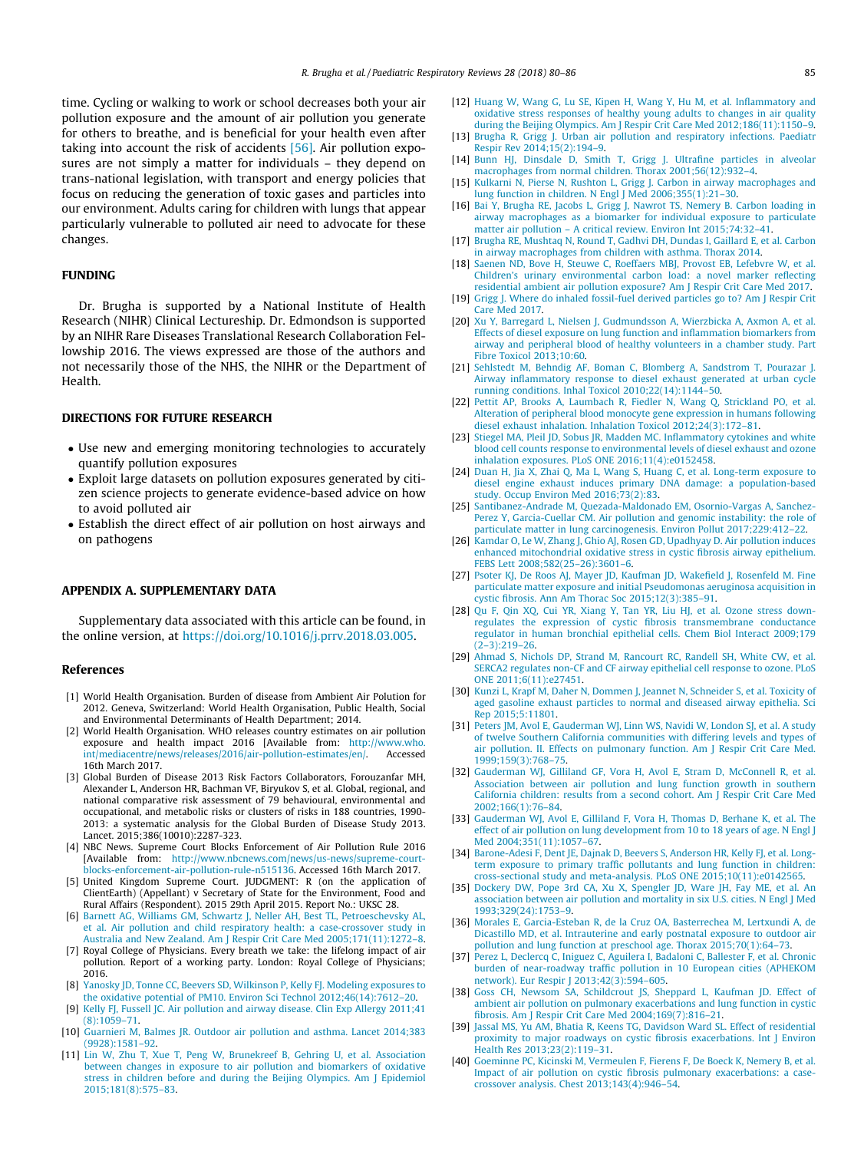<span id="page-5-0"></span>time. Cycling or walking to work or school decreases both your air pollution exposure and the amount of air pollution you generate for others to breathe, and is beneficial for your health even after taking into account the risk of accidents [\[56\].](#page-6-0) Air pollution exposures are not simply a matter for individuals – they depend on trans-national legislation, with transport and energy policies that focus on reducing the generation of toxic gases and particles into our environment. Adults caring for children with lungs that appear particularly vulnerable to polluted air need to advocate for these changes.

### FUNDING

Dr. Brugha is supported by a National Institute of Health Research (NIHR) Clinical Lectureship. Dr. Edmondson is supported by an NIHR Rare Diseases Translational Research Collaboration Fellowship 2016. The views expressed are those of the authors and not necessarily those of the NHS, the NIHR or the Department of Health.

#### DIRECTIONS FOR FUTURE RESEARCH

- Use new and emerging monitoring technologies to accurately quantify pollution exposures
- Exploit large datasets on pollution exposures generated by citizen science projects to generate evidence-based advice on how to avoid polluted air
- Establish the direct effect of air pollution on host airways and on pathogens

#### APPENDIX A. SUPPLEMENTARY DATA

Supplementary data associated with this article can be found, in the online version, at <https://doi.org/10.1016/j.prrv.2018.03.005>.

#### References

- [1] World Health Organisation. Burden of disease from Ambient Air Polution for 2012. Geneva, Switzerland: World Health Organisation, Public Health, Social and Environmental Determinants of Health Department; 2014.
- [2] World Health Organisation. WHO releases country estimates on air pollution exposure and health impact 2016 [Available from: [http://www.who.](http://www.who.int/mediacentre/news/releases/2016/air-pollution-estimates/en/) [int/mediacentre/news/releases/2016/air-pollution-estimates/en/](http://www.who.int/mediacentre/news/releases/2016/air-pollution-estimates/en/). Accessed 16th March 2017.
- [3] Global Burden of Disease 2013 Risk Factors Collaborators, Forouzanfar MH, Alexander L, Anderson HR, Bachman VF, Biryukov S, et al. Global, regional, and national comparative risk assessment of 79 behavioural, environmental and occupational, and metabolic risks or clusters of risks in 188 countries, 1990- 2013: a systematic analysis for the Global Burden of Disease Study 2013. Lancet. 2015;386(10010):2287-323.
- [4] NBC News. Supreme Court Blocks Enforcement of Air Pollution Rule 2016 [Available from: [http://www.nbcnews.com/news/us-news/supreme-court](http://www.nbcnews.com/news/us-news/supreme-court-blocks-enforcement-air-pollution-rule-n515136)[blocks-enforcement-air-pollution-rule-n515136.](http://www.nbcnews.com/news/us-news/supreme-court-blocks-enforcement-air-pollution-rule-n515136) Accessed 16th March 2017.
- [5] United Kingdom Supreme Court. JUDGMENT: R (on the application of ClientEarth) (Appellant) v Secretary of State for the Environment, Food and Rural Affairs (Respondent). 2015 29th April 2015. Report No.: UKSC 28.
- [6] [Barnett AG, Williams GM, Schwartz J, Neller AH, Best TL, Petroeschevsky AL,](http://refhub.elsevier.com/S1526-0542(18)30050-2/h0030) [et al. Air pollution and child respiratory health: a case-crossover study in](http://refhub.elsevier.com/S1526-0542(18)30050-2/h0030) [Australia and New Zealand. Am J Respir Crit Care Med 2005;171\(11\):1272–8.](http://refhub.elsevier.com/S1526-0542(18)30050-2/h0030)
- [7] Royal College of Physicians. Every breath we take: the lifelong impact of air pollution. Report of a working party. London: Royal College of Physicians; 2016. [8] [Yanosky JD, Tonne CC, Beevers SD, Wilkinson P, Kelly FJ. Modeling exposures to](http://refhub.elsevier.com/S1526-0542(18)30050-2/h0040)
- [the oxidative potential of PM10. Environ Sci Technol 2012;46\(14\):7612–20.](http://refhub.elsevier.com/S1526-0542(18)30050-2/h0040)
- [9] [Kelly FJ, Fussell JC. Air pollution and airway disease. Clin Exp Allergy 2011;41](http://refhub.elsevier.com/S1526-0542(18)30050-2/h0045) [\(8\):1059–71](http://refhub.elsevier.com/S1526-0542(18)30050-2/h0045).
- [10] [Guarnieri M, Balmes JR. Outdoor air pollution and asthma. Lancet 2014;383](http://refhub.elsevier.com/S1526-0542(18)30050-2/h0050) [\(9928\):1581–92](http://refhub.elsevier.com/S1526-0542(18)30050-2/h0050).
- [11] [Lin W, Zhu T, Xue T, Peng W, Brunekreef B, Gehring U, et al. Association](http://refhub.elsevier.com/S1526-0542(18)30050-2/h0055) [between changes in exposure to air pollution and biomarkers of oxidative](http://refhub.elsevier.com/S1526-0542(18)30050-2/h0055) [stress in children before and during the Beijing Olympics. Am J Epidemiol](http://refhub.elsevier.com/S1526-0542(18)30050-2/h0055) [2015;181\(8\):575–83.](http://refhub.elsevier.com/S1526-0542(18)30050-2/h0055)
- [12] [Huang W, Wang G, Lu SE, Kipen H, Wang Y, Hu M, et al. Inflammatory and](http://refhub.elsevier.com/S1526-0542(18)30050-2/h0060) [oxidative stress responses of healthy young adults to changes in air quality](http://refhub.elsevier.com/S1526-0542(18)30050-2/h0060) [during the Beijing Olympics. Am J Respir Crit Care Med 2012;186\(11\):1150–9.](http://refhub.elsevier.com/S1526-0542(18)30050-2/h0060)
- [13] [Brugha R, Grigg J. Urban air pollution and respiratory infections. Paediatr](http://refhub.elsevier.com/S1526-0542(18)30050-2/h0065) [Respir Rev 2014;15\(2\):194–9](http://refhub.elsevier.com/S1526-0542(18)30050-2/h0065).
- [14] [Bunn HJ, Dinsdale D, Smith T, Grigg J. Ultrafine particles in alveolar](http://refhub.elsevier.com/S1526-0542(18)30050-2/h0070) [macrophages from normal children. Thorax 2001;56\(12\):932–4.](http://refhub.elsevier.com/S1526-0542(18)30050-2/h0070)
- [15] [Kulkarni N, Pierse N, Rushton L, Grigg J. Carbon in airway macrophages and](http://refhub.elsevier.com/S1526-0542(18)30050-2/h0075) [lung function in children. N Engl J Med 2006;355\(1\):21–30.](http://refhub.elsevier.com/S1526-0542(18)30050-2/h0075)
- [16] [Bai Y, Brugha RE, Jacobs L, Grigg J, Nawrot TS, Nemery B. Carbon loading in](http://refhub.elsevier.com/S1526-0542(18)30050-2/h0080) [airway macrophages as a biomarker for individual exposure to particulate](http://refhub.elsevier.com/S1526-0542(18)30050-2/h0080) [matter air pollution – A critical review. Environ Int 2015;74:32–41.](http://refhub.elsevier.com/S1526-0542(18)30050-2/h0080)
- [17] [Brugha RE, Mushtaq N, Round T, Gadhvi DH, Dundas I, Gaillard E, et al. Carbon](http://refhub.elsevier.com/S1526-0542(18)30050-2/h0085) [in airway macrophages from children with asthma. Thorax 2014](http://refhub.elsevier.com/S1526-0542(18)30050-2/h0085).
- [18] [Saenen ND, Bove H, Steuwe C, Roeffaers MBJ, Provost EB, Lefebvre W, et al.](http://refhub.elsevier.com/S1526-0542(18)30050-2/h0090) [Children's urinary environmental carbon load: a novel marker reflecting](http://refhub.elsevier.com/S1526-0542(18)30050-2/h0090) [residential ambient air pollution exposure? Am J Respir Crit Care Med 2017.](http://refhub.elsevier.com/S1526-0542(18)30050-2/h0090)
- [19] [Grigg J. Where do inhaled fossil-fuel derived particles go to? Am J Respir Crit](http://refhub.elsevier.com/S1526-0542(18)30050-2/h0095) [Care Med 2017](http://refhub.elsevier.com/S1526-0542(18)30050-2/h0095).
- [20] [Xu Y, Barregard L, Nielsen J, Gudmundsson A, Wierzbicka A, Axmon A, et al.](http://refhub.elsevier.com/S1526-0542(18)30050-2/h0100) [Effects of diesel exposure on lung function and inflammation biomarkers from](http://refhub.elsevier.com/S1526-0542(18)30050-2/h0100) [airway and peripheral blood of healthy volunteers in a chamber study. Part](http://refhub.elsevier.com/S1526-0542(18)30050-2/h0100) [Fibre Toxicol 2013;10:60](http://refhub.elsevier.com/S1526-0542(18)30050-2/h0100).
- [21] Sehlstedt M, Behndig AF, Boman C, Blomberg A, Sandstrom T, Pourazar J [Airway inflammatory response to diesel exhaust generated at urban cycle](http://refhub.elsevier.com/S1526-0542(18)30050-2/h0105) [running conditions. Inhal Toxicol 2010;22\(14\):1144–50](http://refhub.elsevier.com/S1526-0542(18)30050-2/h0105).
- [22] [Pettit AP, Brooks A, Laumbach R, Fiedler N, Wang Q, Strickland PO, et al.](http://refhub.elsevier.com/S1526-0542(18)30050-2/h0110) [Alteration of peripheral blood monocyte gene expression in humans following](http://refhub.elsevier.com/S1526-0542(18)30050-2/h0110) [diesel exhaust inhalation. Inhalation Toxicol 2012;24\(3\):172–81.](http://refhub.elsevier.com/S1526-0542(18)30050-2/h0110)
- [23] [Stiegel MA, Pleil JD, Sobus JR, Madden MC. Inflammatory cytokines and white](http://refhub.elsevier.com/S1526-0542(18)30050-2/h0115) [blood cell counts response to environmental levels of diesel exhaust and ozone](http://refhub.elsevier.com/S1526-0542(18)30050-2/h0115) [inhalation exposures. PLoS ONE 2016;11\(4\):e0152458.](http://refhub.elsevier.com/S1526-0542(18)30050-2/h0115)
- [24] [Duan H, Jia X, Zhai Q, Ma L, Wang S, Huang C, et al. Long-term exposure to](http://refhub.elsevier.com/S1526-0542(18)30050-2/h0120) [diesel engine exhaust induces primary DNA damage: a population-based](http://refhub.elsevier.com/S1526-0542(18)30050-2/h0120) [study. Occup Environ Med 2016;73\(2\):83](http://refhub.elsevier.com/S1526-0542(18)30050-2/h0120).
- [25] [Santibanez-Andrade M, Quezada-Maldonado EM, Osornio-Vargas A, Sanchez-](http://refhub.elsevier.com/S1526-0542(18)30050-2/h0125)[Perez Y, Garcia-Cuellar CM. Air pollution and genomic instability: the role of](http://refhub.elsevier.com/S1526-0542(18)30050-2/h0125) [particulate matter in lung carcinogenesis. Environ Pollut 2017;229:412–22.](http://refhub.elsevier.com/S1526-0542(18)30050-2/h0125)
- [26] [Kamdar O, Le W, Zhang J, Ghio AJ, Rosen GD, Upadhyay D. Air pollution induces](http://refhub.elsevier.com/S1526-0542(18)30050-2/h0130) [enhanced mitochondrial oxidative stress in cystic fibrosis airway epithelium.](http://refhub.elsevier.com/S1526-0542(18)30050-2/h0130) [FEBS Lett 2008;582\(25–26\):3601–6](http://refhub.elsevier.com/S1526-0542(18)30050-2/h0130).
- [27] [Psoter KJ, De Roos AJ, Mayer JD, Kaufman JD, Wakefield J, Rosenfeld M. Fine](http://refhub.elsevier.com/S1526-0542(18)30050-2/h0135) [particulate matter exposure and initial Pseudomonas aeruginosa acquisition in](http://refhub.elsevier.com/S1526-0542(18)30050-2/h0135) [cystic fibrosis. Ann Am Thorac Soc 2015;12\(3\):385–91](http://refhub.elsevier.com/S1526-0542(18)30050-2/h0135).
- [28] [Qu F, Qin XQ, Cui YR, Xiang Y, Tan YR, Liu HJ, et al. Ozone stress down](http://refhub.elsevier.com/S1526-0542(18)30050-2/h0140)[regulates the expression of cystic fibrosis transmembrane conductance](http://refhub.elsevier.com/S1526-0542(18)30050-2/h0140) [regulator in human bronchial epithelial cells. Chem Biol Interact 2009;179](http://refhub.elsevier.com/S1526-0542(18)30050-2/h0140)  $(2-3):219-26.$
- [29] [Ahmad S, Nichols DP, Strand M, Rancourt RC, Randell SH, White CW, et al.](http://refhub.elsevier.com/S1526-0542(18)30050-2/h0145) [SERCA2 regulates non-CF and CF airway epithelial cell response to ozone. PLoS](http://refhub.elsevier.com/S1526-0542(18)30050-2/h0145) [ONE 2011;6\(11\):e27451](http://refhub.elsevier.com/S1526-0542(18)30050-2/h0145).
- [30] [Kunzi L, Krapf M, Daher N, Dommen J, Jeannet N, Schneider S, et al. Toxicity of](http://refhub.elsevier.com/S1526-0542(18)30050-2/h0150) [aged gasoline exhaust particles to normal and diseased airway epithelia. Sci](http://refhub.elsevier.com/S1526-0542(18)30050-2/h0150) [Rep 2015;5:11801](http://refhub.elsevier.com/S1526-0542(18)30050-2/h0150).
- [31] [Peters JM, Avol E, Gauderman WJ, Linn WS, Navidi W, London SJ, et al. A study](http://refhub.elsevier.com/S1526-0542(18)30050-2/h0155) [of twelve Southern California communities with differing levels and types of](http://refhub.elsevier.com/S1526-0542(18)30050-2/h0155) [air pollution. II. Effects on pulmonary function. Am J Respir Crit Care Med.](http://refhub.elsevier.com/S1526-0542(18)30050-2/h0155) [1999;159\(3\):768–75](http://refhub.elsevier.com/S1526-0542(18)30050-2/h0155).
- [32] [Gauderman WJ, Gilliland GF, Vora H, Avol E, Stram D, McConnell R, et al.](http://refhub.elsevier.com/S1526-0542(18)30050-2/h0160) [Association between air pollution and lung function growth in southern](http://refhub.elsevier.com/S1526-0542(18)30050-2/h0160) [California children: results from a second cohort. Am J Respir Crit Care Med](http://refhub.elsevier.com/S1526-0542(18)30050-2/h0160) [2002;166\(1\):76–84](http://refhub.elsevier.com/S1526-0542(18)30050-2/h0160).
- [33] [Gauderman WJ, Avol E, Gilliland F, Vora H, Thomas D, Berhane K, et al. The](http://refhub.elsevier.com/S1526-0542(18)30050-2/h0165) [effect of air pollution on lung development from 10 to 18 years of age. N Engl J](http://refhub.elsevier.com/S1526-0542(18)30050-2/h0165) [Med 2004;351\(11\):1057–67](http://refhub.elsevier.com/S1526-0542(18)30050-2/h0165).
- [34] [Barone-Adesi F, Dent JE, Dajnak D, Beevers S, Anderson HR, Kelly FJ, et al. Long](http://refhub.elsevier.com/S1526-0542(18)30050-2/h0170)[term exposure to primary traffic pollutants and lung function in children:](http://refhub.elsevier.com/S1526-0542(18)30050-2/h0170) [cross-sectional study and meta-analysis. PLoS ONE 2015;10\(11\):e0142565.](http://refhub.elsevier.com/S1526-0542(18)30050-2/h0170)
- [35] [Dockery DW, Pope 3rd CA, Xu X, Spengler JD, Ware JH, Fay ME, et al. An](http://refhub.elsevier.com/S1526-0542(18)30050-2/h0175) [association between air pollution and mortality in six U.S. cities. N Engl J Med](http://refhub.elsevier.com/S1526-0542(18)30050-2/h0175) [1993;329\(24\):1753–9.](http://refhub.elsevier.com/S1526-0542(18)30050-2/h0175)
- [36] [Morales E, Garcia-Esteban R, de la Cruz OA, Basterrechea M, Lertxundi A, de](http://refhub.elsevier.com/S1526-0542(18)30050-2/h0180) [Dicastillo MD, et al. Intrauterine and early postnatal exposure to outdoor air](http://refhub.elsevier.com/S1526-0542(18)30050-2/h0180) [pollution and lung function at preschool age. Thorax 2015;70\(1\):64–73.](http://refhub.elsevier.com/S1526-0542(18)30050-2/h0180)
- [37] [Perez L, Declercq C, Iniguez C, Aguilera I, Badaloni C, Ballester F, et al. Chronic](http://refhub.elsevier.com/S1526-0542(18)30050-2/h0185) [burden of near-roadway traffic pollution in 10 European cities \(APHEKOM](http://refhub.elsevier.com/S1526-0542(18)30050-2/h0185) [network\). Eur Respir J 2013;42\(3\):594–605.](http://refhub.elsevier.com/S1526-0542(18)30050-2/h0185)
- [38] [Goss CH, Newsom SA, Schildcrout JS, Sheppard L, Kaufman JD. Effect of](http://refhub.elsevier.com/S1526-0542(18)30050-2/h0190) [ambient air pollution on pulmonary exacerbations and lung function in cystic](http://refhub.elsevier.com/S1526-0542(18)30050-2/h0190) [fibrosis. Am J Respir Crit Care Med 2004;169\(7\):816–21.](http://refhub.elsevier.com/S1526-0542(18)30050-2/h0190)
- [39] [Jassal MS, Yu AM, Bhatia R, Keens TG, Davidson Ward SL. Effect of residential](http://refhub.elsevier.com/S1526-0542(18)30050-2/h0195) [proximity to major roadways on cystic fibrosis exacerbations. Int J Environ](http://refhub.elsevier.com/S1526-0542(18)30050-2/h0195) [Health Res 2013;23\(2\):119–31.](http://refhub.elsevier.com/S1526-0542(18)30050-2/h0195)
- [40] [Goeminne PC, Kicinski M, Vermeulen F, Fierens F, De Boeck K, Nemery B, et al.](http://refhub.elsevier.com/S1526-0542(18)30050-2/h0200) [Impact of air pollution on cystic fibrosis pulmonary exacerbations: a case](http://refhub.elsevier.com/S1526-0542(18)30050-2/h0200)[crossover analysis. Chest 2013;143\(4\):946–54](http://refhub.elsevier.com/S1526-0542(18)30050-2/h0200).